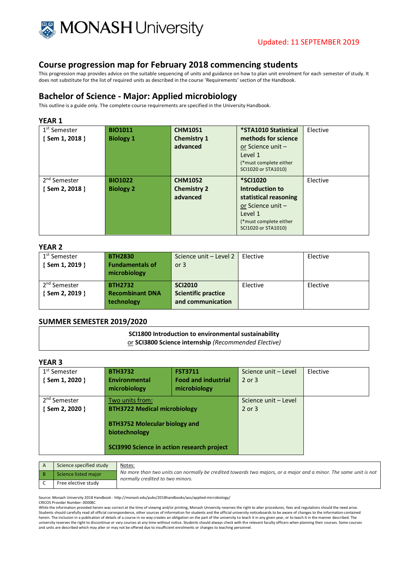

This progression map provides advice on the suitable sequencing of units and guidance on how to plan unit enrolment for each semester of study. It does not substitute for the list of required units as described in the course 'Requirements' section of the Handbook.

### **Bachelor of Science - Major: Applied microbiology**

This outline is a guide only. The complete course requirements are specified in the University Handbook.

#### **YEAR 1**

| 1 <sup>st</sup> Semester | <b>BIO1011</b>   | <b>CHM1051</b>     | *STA1010 Statistical   | Elective |
|--------------------------|------------------|--------------------|------------------------|----------|
| $\{$ Sem 1, 2018 $\}$    | <b>Biology 1</b> | <b>Chemistry 1</b> | methods for science    |          |
|                          |                  | advanced           | or Science unit -      |          |
|                          |                  |                    | Level 1                |          |
|                          |                  |                    | (*must complete either |          |
|                          |                  |                    | SCI1020 or STA1010)    |          |
| 2 <sup>nd</sup> Semester | <b>BIO1022</b>   | <b>CHM1052</b>     | <b>*SCI1020</b>        | Elective |
| $\{$ Sem 2, 2018 $\}$    | <b>Biology 2</b> | <b>Chemistry 2</b> | Introduction to        |          |
|                          |                  | advanced           | statistical reasoning  |          |
|                          |                  |                    | or Science unit $-$    |          |
|                          |                  |                    | Level 1                |          |
|                          |                  |                    | (*must complete either |          |
|                          |                  |                    | SCI1020 or STA1010)    |          |

#### **YEAR 2**

| 1 <sup>st</sup> Semester<br>$\{$ Sem 1, 2019 $\}$ | <b>BTH2830</b><br><b>Fundamentals of</b><br>microbiology | Science unit - Level 2<br>or $3$ | Elective | Elective |
|---------------------------------------------------|----------------------------------------------------------|----------------------------------|----------|----------|
| 2 <sup>nd</sup> Semester                          | <b>BTH2732</b>                                           | <b>SCI2010</b>                   | Elective | Elective |
| { Sem 2, 2019 }                                   | <b>Recombinant DNA</b>                                   | <b>Scientific practice</b>       |          |          |
|                                                   | technology                                               | and communication                |          |          |

#### **SUMMER SEMESTER 2019/2020**

**SCI1800 Introduction to environmental sustainability** or **SCI3800 Science internship** *(Recommended Elective)*

#### **YEAR 3**

| 1 <sup>st</sup> Semester<br>$\{$ Sem 1, 2020 $\}$ | <b>BTH3732</b><br>Environmental<br>microbiology                                                                                                               | <b>FST3711</b><br><b>Food and industrial</b><br>microbiology | Science unit - Level<br>$2$ or $3$ | Elective |
|---------------------------------------------------|---------------------------------------------------------------------------------------------------------------------------------------------------------------|--------------------------------------------------------------|------------------------------------|----------|
| 2 <sup>nd</sup> Semester<br>{Sem 2, 2020 }        | Two units from:<br><b>BTH3722 Medical microbiology</b><br><b>BTH3752 Molecular biology and</b><br>biotechnology<br>SCI3990 Science in action research project |                                                              | Science unit - Level<br>$2$ or $3$ |          |

| Science specified study | Notes:                                                                                                                                               |
|-------------------------|------------------------------------------------------------------------------------------------------------------------------------------------------|
| Science listed major    | No more than two units can normally be credited towards two majors, or a major and a minor. The same unit is not<br>normally credited to two minors. |
| Free elective study     |                                                                                                                                                      |

Source: Monash University 2018 Handbook - http://monash.edu/pubs/2018handbooks/aos/applied-microbiology/

CRICOS Provider Number: 00008C

While the information provided herein was correct at the time of viewing and/or printing, Monash University reserves the right to alter procedures, fees and regulations should the need arise. Students should carefully read all official correspondence, other sources of information for students and the official university noticeboards to be aware of changes to the information contained herein. The inclusion in a publication of details of a course in no way creates an obligation on the part of the university to teach it in any given year, or to teach it in the manner described. The university reserves the right to discontinue or vary courses at any time without notice. Students should always check with the relevant faculty officers when planning their courses. Some courses and units are described which may alter or may not be offered due to insufficient enrolments or changes to teaching personnel.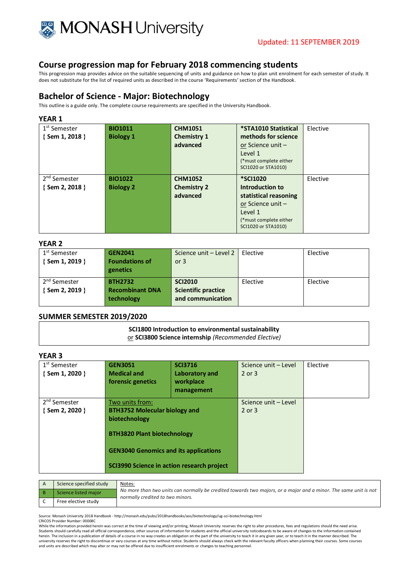

This progression map provides advice on the suitable sequencing of units and guidance on how to plan unit enrolment for each semester of study. It does not substitute for the list of required units as described in the course 'Requirements' section of the Handbook.

### **Bachelor of Science - Major: Biotechnology**

This outline is a guide only. The complete course requirements are specified in the University Handbook.

#### **YEAR 1**

| 1 <sup>st</sup> Semester<br>$\{$ Sem 1, 2018 $\}$ | <b>BIO1011</b><br><b>Biology 1</b> | <b>CHM1051</b><br><b>Chemistry 1</b><br>advanced | *STA1010 Statistical<br>methods for science<br>or Science unit $-$<br>Level 1<br>(*must complete either)<br>SCI1020 or STA1010)                 | Elective |
|---------------------------------------------------|------------------------------------|--------------------------------------------------|-------------------------------------------------------------------------------------------------------------------------------------------------|----------|
| 2 <sup>nd</sup> Semester<br>$\{$ Sem 2, 2018 $\}$ | <b>BIO1022</b><br><b>Biology 2</b> | <b>CHM1052</b><br><b>Chemistry 2</b><br>advanced | <b>*SCI1020</b><br>Introduction to<br>statistical reasoning<br>or Science unit $-$<br>Level 1<br>(*must complete either)<br>SCI1020 or STA1010) | Elective |

#### **YEAR 2**

| 1 <sup>st</sup> Semester | <b>GEN2041</b>         | Science unit - Level 2     | Elective | Elective |
|--------------------------|------------------------|----------------------------|----------|----------|
| {Sem 1, 2019 }           | <b>Foundations of</b>  | or $3$                     |          |          |
|                          | genetics               |                            |          |          |
| 2 <sup>nd</sup> Semester | <b>BTH2732</b>         | <b>SCI2010</b>             | Elective | Elective |
| { Sem 2, 2019 }          | <b>Recombinant DNA</b> | <b>Scientific practice</b> |          |          |
|                          | technology             | and communication          |          |          |
|                          |                        |                            |          |          |

#### **SUMMER SEMESTER 2019/2020**

**SCI1800 Introduction to environmental sustainability** or **SCI3800 Science internship** *(Recommended Elective)*

### **YEAR 3**

| 1 <sup>st</sup> Semester<br>{Sem 1, 2020 } | <b>GEN3051</b><br><b>Medical and</b><br>forensic genetics                                                                                                                                                    | <b>SCI3716</b><br>Laboratory and<br>workplace<br>management | Science unit - Level<br>$2$ or $3$ | Elective |
|--------------------------------------------|--------------------------------------------------------------------------------------------------------------------------------------------------------------------------------------------------------------|-------------------------------------------------------------|------------------------------------|----------|
| 2 <sup>nd</sup> Semester<br>{Sem 2, 2020 } | Two units from:<br><b>BTH3752 Molecular biology and</b><br>biotechnology<br><b>BTH3820 Plant biotechnology</b><br><b>GEN3040 Genomics and its applications</b><br>SCI3990 Science in action research project |                                                             | Science unit - Level<br>$2$ or $3$ |          |

| Science specified study | Notes:                                                                                                                                               |
|-------------------------|------------------------------------------------------------------------------------------------------------------------------------------------------|
| Science listed major    | No more than two units can normally be credited towards two majors, or a major and a minor. The same unit is not<br>normally credited to two minors. |
| Free elective study     |                                                                                                                                                      |

Source: Monash University 2018 Handbook - http://monash.edu/pubs/2018handbooks/aos/biotechnology/ug-sci-biotechnology.html

CRICOS Provider Number: 00008C

While the information provided herein was correct at the time of viewing and/or printing, Monash University reserves the right to alter procedures, fees and regulations should the need arise. Students should carefully read all official correspondence, other sources of information for students and the official university noticeboards to be aware of changes to the information contained herein. The inclusion in a publication of details of a course in no way creates an obligation on the part of the university to teach it in any given year, or to teach it in the manner described. The university reserves the right to discontinue or vary courses at any time without notice. Students should always check with the relevant faculty officers when planning their courses. Some courses<br>and units are described whi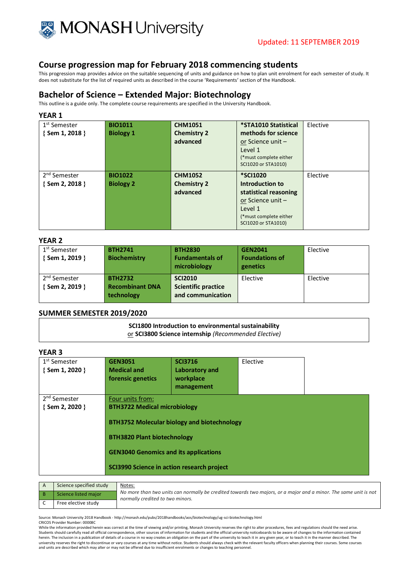

This progression map provides advice on the suitable sequencing of units and guidance on how to plan unit enrolment for each semester of study. It does not substitute for the list of required units as described in the course 'Requirements' section of the Handbook.

# **Bachelor of Science – Extended Major: Biotechnology**

This outline is a guide only. The complete course requirements are specified in the University Handbook.

#### **YEAR 1**

| 1 <sup>st</sup> Semester | <b>BIO1011</b>   | <b>CHM1051</b>     | *STA1010 Statistical   | Elective |
|--------------------------|------------------|--------------------|------------------------|----------|
| {Sem 1, 2018 }           | <b>Biology 1</b> | <b>Chemistry 2</b> | methods for science    |          |
|                          |                  | advanced           | or Science unit -      |          |
|                          |                  |                    | Level 1                |          |
|                          |                  |                    | (*must complete either |          |
|                          |                  |                    | SCI1020 or STA1010)    |          |
| 2 <sup>nd</sup> Semester | <b>BIO1022</b>   | <b>CHM1052</b>     | <b>*SCI1020</b>        | Elective |
| $\{$ Sem 2, 2018 $\}$    | <b>Biology 2</b> | <b>Chemistry 2</b> | Introduction to        |          |
|                          |                  | advanced           | statistical reasoning  |          |
|                          |                  |                    | or Science unit -      |          |
|                          |                  |                    | Level 1                |          |
|                          |                  |                    | (*must complete either |          |
|                          |                  |                    | SCI1020 or STA1010)    |          |

#### **YEAR 2**

| 1 <sup>st</sup> Semester | <b>BTH2741</b>         | <b>BTH2830</b>             | <b>GEN2041</b>        | Elective |
|--------------------------|------------------------|----------------------------|-----------------------|----------|
| {Sem 1, 2019 }           | <b>Biochemistry</b>    | <b>Fundamentals of</b>     | <b>Foundations of</b> |          |
|                          |                        | microbiology               | genetics              |          |
|                          |                        |                            |                       |          |
| 2 <sup>nd</sup> Semester | <b>BTH2732</b>         | <b>SCI2010</b>             | Elective              | Elective |
| {Sem 2, 2019 }           | <b>Recombinant DNA</b> | <b>Scientific practice</b> |                       |          |
|                          | technology             | and communication          |                       |          |
|                          |                        |                            |                       |          |

#### **SUMMER SEMESTER 2019/2020**

**SCI1800 Introduction to environmental sustainability** or **SCI3800 Science internship** *(Recommended Elective)*

### **YEAR 3**

| 1 <sup>st</sup> Semester<br>{Sem 1, 2020 }        | <b>GEN3051</b><br><b>Medical and</b><br>forensic genetics                                                                                                                                   | <b>SCI3716</b><br>Laboratory and<br>workplace<br>management | Elective |  |
|---------------------------------------------------|---------------------------------------------------------------------------------------------------------------------------------------------------------------------------------------------|-------------------------------------------------------------|----------|--|
| 2 <sup>nd</sup> Semester<br>$\{$ Sem 2, 2020 $\}$ | Four units from:<br><b>BTH3722 Medical microbiology</b><br><b>BTH3820 Plant biotechnology</b><br><b>GEN3040 Genomics and its applications</b><br>SCI3990 Science in action research project | <b>BTH3752 Molecular biology and biotechnology</b>          |          |  |

| Science specified study | Notes:                                                                                                                                               |
|-------------------------|------------------------------------------------------------------------------------------------------------------------------------------------------|
| Science listed major    | No more than two units can normally be credited towards two majors, or a major and a minor. The same unit is not<br>normally credited to two minors. |
| Free elective study     |                                                                                                                                                      |

Source: Monash University 2018 Handbook - http://monash.edu/pubs/2018handbooks/aos/biotechnology/ug-sci-biotechnology.html

CRICOS Provider Number: 00008C

While the information provided herein was correct at the time of viewing and/or printing, Monash University reserves the right to alter procedures, fees and regulations should the need arise. Students should carefully read all official correspondence, other sources of information for students and the official university noticeboards to be aware of changes to the information contained herein. The inclusion in a publication of details of a course in no way creates an obligation on the part of the university to teach it in any given year, or to teach it in the manner described. The university reserves the right to discontinue or vary courses at any time without notice. Students should always check with the relevant faculty officers when planning their courses. Some courses<br>and units are described whi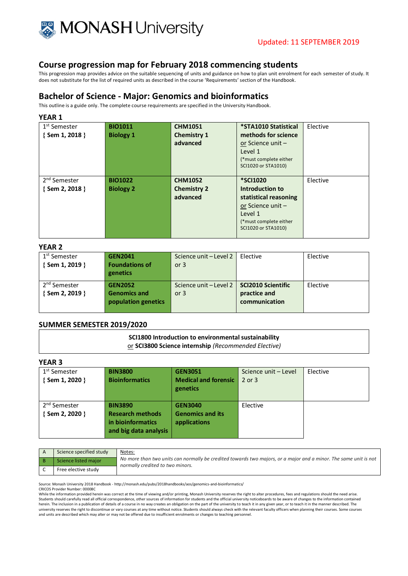

This progression map provides advice on the suitable sequencing of units and guidance on how to plan unit enrolment for each semester of study. It does not substitute for the list of required units as described in the course 'Requirements' section of the Handbook.

### **Bachelor of Science - Major: Genomics and bioinformatics**

This outline is a guide only. The complete course requirements are specified in the University Handbook.

#### **YEAR 1**

| 1 <sup>st</sup> Semester<br>$\{$ Sem 1, 2018 $\}$ | <b>BIO1011</b><br><b>Biology 1</b> | <b>CHM1051</b><br><b>Chemistry 1</b><br>advanced | *STA1010 Statistical<br>methods for science<br>or Science unit -<br>Level 1<br>(*must complete either)<br>SCI1020 or STA1010)                | Elective |
|---------------------------------------------------|------------------------------------|--------------------------------------------------|----------------------------------------------------------------------------------------------------------------------------------------------|----------|
| 2 <sup>nd</sup> Semester<br>$\{$ Sem 2, 2018 $\}$ | <b>BIO1022</b><br><b>Biology 2</b> | <b>CHM1052</b><br><b>Chemistry 2</b><br>advanced | <b>*SCI1020</b><br>Introduction to<br>statistical reasoning<br>or Science unit -<br>Level 1<br>(*must complete either<br>SCI1020 or STA1010) | Elective |

#### **YEAR 2**

| 1 <sup>st</sup> Semester<br>$\{$ Sem 1, 2019 $\}$ | <b>GEN2041</b><br><b>Foundations of</b><br>genetics          | Science unit - Level 2<br>or $3$                      | Elective                      | Elective |
|---------------------------------------------------|--------------------------------------------------------------|-------------------------------------------------------|-------------------------------|----------|
| 2 <sup>nd</sup> Semester<br>{ Sem 2, 2019 }       | <b>GEN2052</b><br><b>Genomics and</b><br>population genetics | Science unit - Level 2   SCI2010 Scientific<br>or $3$ | practice and<br>communication | Elective |

#### **SUMMER SEMESTER 2019/2020**

# **SCI1800 Introduction to environmental sustainability**

or **SCI3800 Science internship** *(Recommended Elective)*

### **YEAR 3**

| 1 <sup>st</sup> Semester<br>{Sem 1, 2020 }        | <b>BIN3800</b><br><b>Bioinformatics</b>                                                 | <b>GEN3051</b><br><b>Medical and forensic</b><br>genetics | Science unit - Level<br>$2$ or $3$ | Elective |
|---------------------------------------------------|-----------------------------------------------------------------------------------------|-----------------------------------------------------------|------------------------------------|----------|
| 2 <sup>nd</sup> Semester<br>$\{$ Sem 2, 2020 $\}$ | <b>BIN3890</b><br><b>Research methods</b><br>in bioinformatics<br>and big data analysis | <b>GEN3040</b><br><b>Genomics and its</b><br>applications | Elective                           |          |

| Science specified study | Notes:                                                                                                                                               |
|-------------------------|------------------------------------------------------------------------------------------------------------------------------------------------------|
| Science listed major    | No more than two units can normally be credited towards two majors, or a major and a minor. The same unit is not<br>normally credited to two minors. |
| Free elective study     |                                                                                                                                                      |

Source: Monash University 2018 Handbook - http://monash.edu/pubs/2018handbooks/aos/genomics-and-bioinformatics/

CRICOS Provider Number: 00008C

While the information provided herein was correct at the time of viewing and/or printing. Monash University reserves the right to alter procedures, fees and regulations should the need arise. Students should carefully read all official correspondence, other sources of information for students and the official university noticeboards to be aware of changes to the information contained herein. The inclusion in a publication of details of a course in no way creates an obligation on the part of the university to teach it in any given year, or to teach it in the manner described. The university reserves the right to discontinue or vary courses at any time without notice. Students should always check with the relevant faculty officers when planning their courses. Some courses and units are described which may alter or may not be offered due to insufficient enrolments or changes to teaching personnel.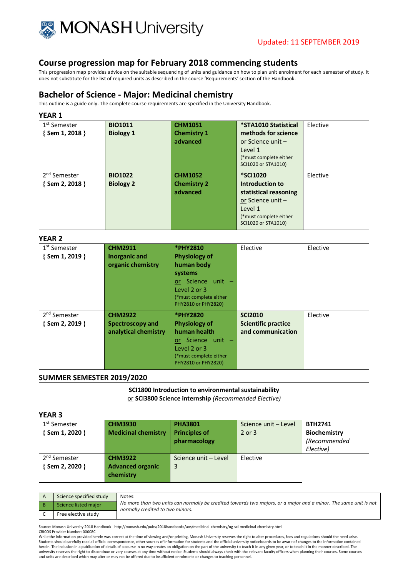

This progression map provides advice on the suitable sequencing of units and guidance on how to plan unit enrolment for each semester of study. It does not substitute for the list of required units as described in the course 'Requirements' section of the Handbook.

# **Bachelor of Science - Major: Medicinal chemistry**

This outline is a guide only. The complete course requirements are specified in the University Handbook.

#### **YEAR 1**

| 1 <sup>st</sup> Semester | <b>BIO1011</b>   | <b>CHM1051</b>     | *STA1010 Statistical   | Elective |
|--------------------------|------------------|--------------------|------------------------|----------|
| $\{$ Sem 1, 2018 $\}$    | <b>Biology 1</b> | <b>Chemistry 1</b> | methods for science    |          |
|                          |                  | advanced           | or Science unit -      |          |
|                          |                  |                    | Level 1                |          |
|                          |                  |                    | (*must complete either |          |
|                          |                  |                    | SCI1020 or STA1010)    |          |
| 2 <sup>nd</sup> Semester | <b>BIO1022</b>   | <b>CHM1052</b>     | <b>*SCI1020</b>        | Elective |
| {Sem 2, 2018 }           | <b>Biology 2</b> | <b>Chemistry 2</b> | Introduction to        |          |
|                          |                  | advanced           | statistical reasoning  |          |
|                          |                  |                    | or Science unit $-$    |          |
|                          |                  |                    | Level 1                |          |
|                          |                  |                    | (*must complete either |          |
|                          |                  |                    | SCI1020 or STA1010)    |          |

#### **YEAR 2**

| 1 <sup>st</sup> Semester<br>$\{$ Sem 1, 2019 $\}$ | <b>CHM2911</b><br><b>Inorganic and</b><br>organic chemistry       | *PHY2810<br><b>Physiology of</b><br>human body<br>systems<br>Science unit -<br>or.<br>Level 2 or 3<br>(*must complete either<br>PHY2810 or PHY2820) | Elective                                                          | Elective |
|---------------------------------------------------|-------------------------------------------------------------------|-----------------------------------------------------------------------------------------------------------------------------------------------------|-------------------------------------------------------------------|----------|
| 2 <sup>nd</sup> Semester<br>$\{$ Sem 2, 2019 $\}$ | <b>CHM2922</b><br><b>Spectroscopy and</b><br>analytical chemistry | <b>*PHY2820</b><br><b>Physiology of</b><br>human health<br>or Science unit -<br>Level 2 or 3<br>(*must complete either<br>PHY2810 or PHY2820)       | <b>SCI2010</b><br><b>Scientific practice</b><br>and communication | Elective |

#### **SUMMER SEMESTER 2019/2020**

| SCI1800 Introduction to environmental sustainability |  |
|------------------------------------------------------|--|
| or SCI3800 Science internship (Recommended Elective) |  |

#### **YEAR 3**

| 1 <sup>st</sup> Semester | <b>CHM3930</b>             | <b>PHA3801</b>       | Science unit - Level | <b>BTH2741</b>      |
|--------------------------|----------------------------|----------------------|----------------------|---------------------|
| $\{$ Sem 1, 2020 $\}$    | <b>Medicinal chemistry</b> | <b>Principles of</b> | $2$ or $3$           | <b>Biochemistry</b> |
|                          |                            | pharmacology         |                      | (Recommended        |
|                          |                            |                      |                      | Elective)           |
| 2 <sup>nd</sup> Semester | <b>CHM3922</b>             | Science unit - Level | Elective             |                     |
| { Sem 2, 2020 }          | <b>Advanced organic</b>    | 3                    |                      |                     |
|                          | chemistry                  |                      |                      |                     |
|                          |                            |                      |                      |                     |

| Science specified study | Notes:                                                                                                                                               |
|-------------------------|------------------------------------------------------------------------------------------------------------------------------------------------------|
| Science listed major    | No more than two units can normally be credited towards two majors, or a major and a minor. The same unit is not<br>normally credited to two minors. |
| Free elective study     |                                                                                                                                                      |

Source: Monash University 2018 Handbook - http://monash.edu/pubs/2018handbooks/aos/medicinal-chemistry/ug-sci-medicinal-chemistry.html CRICOS Provider Number: 00008C

While the information provided herein was correct at the time of viewing and/or printing. Monash University reserves the right to alter procedures, fees and regulations should the need arise. Students should carefully read all official correspondence, other sources of information for students and the official university noticeboards to be aware of changes to the information contained herein. The inclusion in a publication of details of a course in no way creates an obligation on the part of the university to teach it in any given year, or to teach it in the manner described. The university reserves the right to discontinue or vary courses at any time without notice. Students should always check with the relevant faculty officers when planning their courses. Some courses<br>and units are described whi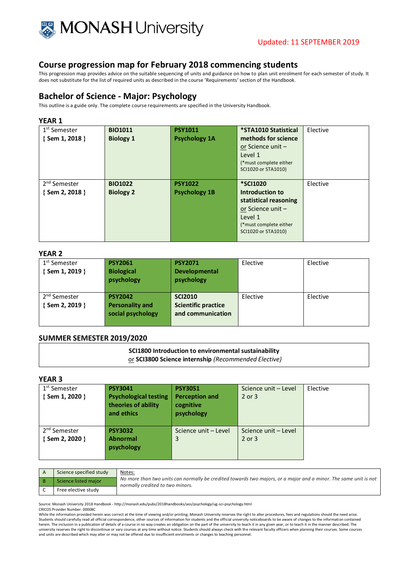

This progression map provides advice on the suitable sequencing of units and guidance on how to plan unit enrolment for each semester of study. It does not substitute for the list of required units as described in the course 'Requirements' section of the Handbook.

### **Bachelor of Science - Major: Psychology**

This outline is a guide only. The complete course requirements are specified in the University Handbook.

#### **YEAR 1**

| 1 <sup>st</sup> Semester<br>{ Sem 1, 2018 } | <b>BIO1011</b><br><b>Biology 1</b> | <b>PSY1011</b><br><b>Psychology 1A</b> | *STA1010 Statistical<br>methods for science<br>or Science unit $-$<br>Level 1<br>(*must complete either<br>SCI1020 or STA1010)               | Elective |
|---------------------------------------------|------------------------------------|----------------------------------------|----------------------------------------------------------------------------------------------------------------------------------------------|----------|
| 2 <sup>nd</sup> Semester<br>{ Sem 2, 2018 } | <b>BIO1022</b><br><b>Biology 2</b> | <b>PSY1022</b><br><b>Psychology 1B</b> | <b>*SCI1020</b><br>Introduction to<br>statistical reasoning<br>or Science unit -<br>Level 1<br>(*must complete either<br>SCI1020 or STA1010) | Elective |

#### **YEAR 2**

| 1 <sup>st</sup> Semester<br>$\{$ Sem 1, 2019 $\}$ | <b>PSY2061</b><br><b>Biological</b><br>psychology             | <b>PSY2071</b><br><b>Developmental</b><br>psychology              | Elective | Elective |
|---------------------------------------------------|---------------------------------------------------------------|-------------------------------------------------------------------|----------|----------|
| 2 <sup>nd</sup> Semester<br>{Sem 2, 2019 }        | <b>PSY2042</b><br><b>Personality and</b><br>social psychology | <b>SCI2010</b><br><b>Scientific practice</b><br>and communication | Elective | Elective |

#### **SUMMER SEMESTER 2019/2020**

# **SCI1800 Introduction to environmental sustainability**

or **SCI3800 Science internship** *(Recommended Elective)*

# **YEAR 3**

| 1 <sup>st</sup> Semester<br>{Sem 1, 2020 } | <b>PSY3041</b><br><b>Psychological testing</b><br>theories of ability<br>and ethics | <b>PSY3051</b><br><b>Perception and</b><br>cognitive<br>psychology | Science unit - Level<br>2 or 3 | Elective |
|--------------------------------------------|-------------------------------------------------------------------------------------|--------------------------------------------------------------------|--------------------------------|----------|
| 2 <sup>nd</sup> Semester<br>{Sem 2, 2020 } | <b>PSY3032</b><br><b>Abnormal</b><br>psychology                                     | Science unit - Level<br>3                                          | Science unit - Level<br>2 or 3 |          |

| Science specified study | <u>Notes:</u>                                                                                                                                        |
|-------------------------|------------------------------------------------------------------------------------------------------------------------------------------------------|
| Science listed major    | No more than two units can normally be credited towards two majors, or a major and a minor. The same unit is not<br>normally credited to two minors. |
| Free elective study     |                                                                                                                                                      |

Source: Monash University 2018 Handbook - http://monash.edu/pubs/2018handbooks/aos/psychology/ug-sci-psychology.html

CRICOS Provider Number: 00008C

While the information provided herein was correct at the time of viewing and/or printing, Monash University reserves the right to alter procedures, fees and regulations should the need arise. Students should carefully read all official correspondence, other sources of information for students and the official university noticeboards to be aware of changes to the information contained<br>herein. The inclusion in a university reserves the right to discontinue or vary courses at any time without notice. Students should always check with the relevant faculty officers when planning their courses. Some courses and units are described which may alter or may not be offered due to insufficient enrolments or changes to teaching personnel.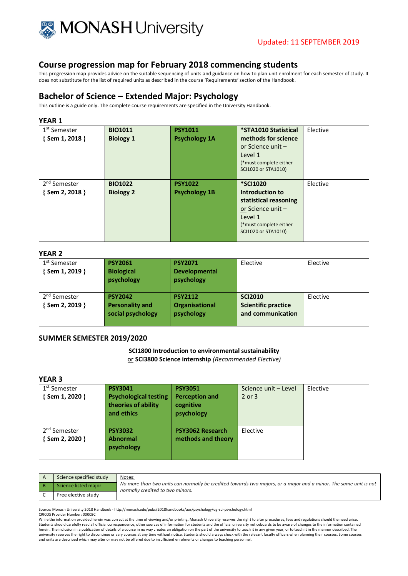

This progression map provides advice on the suitable sequencing of units and guidance on how to plan unit enrolment for each semester of study. It does not substitute for the list of required units as described in the course 'Requirements' section of the Handbook.

### **Bachelor of Science – Extended Major: Psychology**

This outline is a guide only. The complete course requirements are specified in the University Handbook.

#### **YEAR 1**

| 1 <sup>st</sup> Semester<br>$\{$ Sem 1, 2018 $\}$ | <b>BIO1011</b><br><b>Biology 1</b> | <b>PSY1011</b><br><b>Psychology 1A</b> | *STA1010 Statistical<br>methods for science<br>or Science unit -<br>Level 1<br>(*must complete either)<br>SCI1020 or STA1010)                | Elective |
|---------------------------------------------------|------------------------------------|----------------------------------------|----------------------------------------------------------------------------------------------------------------------------------------------|----------|
| 2 <sup>nd</sup> Semester<br>$\{$ Sem 2, 2018 $\}$ | <b>BIO1022</b><br><b>Biology 2</b> | <b>PSY1022</b><br><b>Psychology 1B</b> | <b>*SCI1020</b><br>Introduction to<br>statistical reasoning<br>or Science unit -<br>Level 1<br>(*must complete either<br>SCI1020 or STA1010) | Elective |

#### **YEAR 2**

| 1 <sup>st</sup> Semester<br>{Sem 1, 2019 }  | <b>PSY2061</b><br><b>Biological</b><br>psychology             | <b>PSY2071</b><br><b>Developmental</b><br>psychology | Elective                                                          | Elective |
|---------------------------------------------|---------------------------------------------------------------|------------------------------------------------------|-------------------------------------------------------------------|----------|
| 2 <sup>nd</sup> Semester<br>{ Sem 2, 2019 } | <b>PSY2042</b><br><b>Personality and</b><br>social psychology | <b>PSY2112</b><br>Organisational<br>psychology       | <b>SCI2010</b><br><b>Scientific practice</b><br>and communication | Elective |

#### **SUMMER SEMESTER 2019/2020**

**SCI1800 Introduction to environmental sustainability** or **SCI3800 Science internship** *(Recommended Elective)*

### **YEAR 3**

| 1 <sup>st</sup> Semester<br>{Sem 1, 2020 }  | <b>PSY3041</b><br><b>Psychological testing</b><br>theories of ability<br>and ethics | <b>PSY3051</b><br><b>Perception and</b><br>cognitive<br>psychology | Science unit - Level<br>2 or 3 | Elective |
|---------------------------------------------|-------------------------------------------------------------------------------------|--------------------------------------------------------------------|--------------------------------|----------|
| 2 <sup>nd</sup> Semester<br>{ Sem 2, 2020 } | <b>PSY3032</b><br><b>Abnormal</b><br>psychology                                     | <b>PSY3062 Research</b><br>methods and theory                      | Elective                       |          |

| Science specified study | Notes:                                                                                                                                               |
|-------------------------|------------------------------------------------------------------------------------------------------------------------------------------------------|
| Science listed major    | No more than two units can normally be credited towards two majors, or a major and a minor. The same unit is not<br>normally credited to two minors. |
| Free elective study     |                                                                                                                                                      |

Source: Monash University 2018 Handbook - http://monash.edu/pubs/2018handbooks/aos/psychology/ug-sci-psychology.html

CRICOS Provider Number: 00008C

While the information provided herein was correct at the time of viewing and/or printing. Monash University reserves the right to alter procedures, fees and regulations should the need arise. Students should carefully read all official correspondence, other sources of information for students and the official university noticeboards to be aware of changes to the information contained herein. The inclusion in a publication of details of a course in no way creates an obligation on the part of the university to teach it in any given year, or to teach it in the manner described. The university reserves the right to discontinue or vary courses at any time without notice. Students should always check with the relevant faculty officers when planning their courses. Some courses and units are described which may alter or may not be offered due to insufficient enrolments or changes to teaching personnel.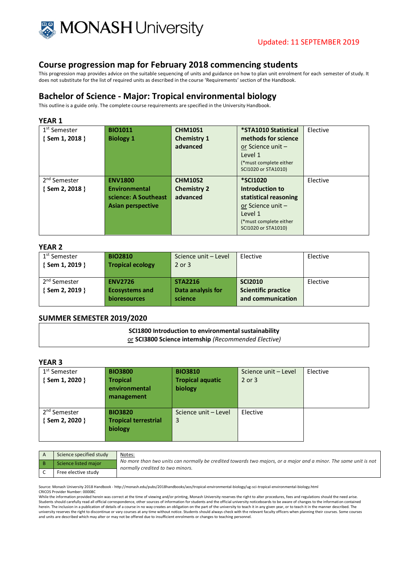

This progression map provides advice on the suitable sequencing of units and guidance on how to plan unit enrolment for each semester of study. It does not substitute for the list of required units as described in the course 'Requirements' section of the Handbook.

### **Bachelor of Science - Major: Tropical environmental biology**

This outline is a guide only. The complete course requirements are specified in the University Handbook.

#### **YEAR 1**

| 1 <sup>st</sup> Semester | <b>BIO1011</b>           | <b>CHM1051</b>     | *STA1010 Statistical    | Elective |
|--------------------------|--------------------------|--------------------|-------------------------|----------|
| {Sem 1, 2018 }           | <b>Biology 1</b>         | <b>Chemistry 1</b> | methods for science     |          |
|                          |                          | advanced           | or Science unit $-$     |          |
|                          |                          |                    | Level 1                 |          |
|                          |                          |                    | (*must complete either) |          |
|                          |                          |                    | SCI1020 or STA1010)     |          |
| 2 <sup>nd</sup> Semester | <b>ENV1800</b>           | <b>CHM1052</b>     | <b>*SCI1020</b>         | Elective |
| $\{$ Sem 2, 2018 $\}$    | <b>Environmental</b>     | <b>Chemistry 2</b> | Introduction to         |          |
|                          | science: A Southeast     | advanced           | statistical reasoning   |          |
|                          | <b>Asian perspective</b> |                    | or Science unit $-$     |          |
|                          |                          |                    | Level 1                 |          |
|                          |                          |                    | (*must complete either) |          |
|                          |                          |                    | SCI1020 or STA1010)     |          |

#### **YEAR 2**

| 1 <sup>st</sup> Semester<br>{Sem 1, 2019 }  | <b>BIO2810</b><br><b>Tropical ecology</b>                      | Science unit - Level<br>2 or 3                 | Elective                                                          | Elective |
|---------------------------------------------|----------------------------------------------------------------|------------------------------------------------|-------------------------------------------------------------------|----------|
| 2 <sup>nd</sup> Semester<br>{ Sem 2, 2019 } | <b>ENV2726</b><br><b>Ecosystems and</b><br><b>bioresources</b> | <b>STA2216</b><br>Data analysis for<br>science | <b>SCI2010</b><br><b>Scientific practice</b><br>and communication | Elective |

#### **SUMMER SEMESTER 2019/2020**

**SCI1800 Introduction to environmental sustainability** or **SCI3800 Science internship** *(Recommended Elective)*

#### **YEAR 3**

| 1 <sup>st</sup> Semester<br>{Sem 1, 2020 } | <b>BIO3800</b><br><b>Tropical</b><br>environmental<br>management | <b>BIO3810</b><br><b>Tropical aquatic</b><br>biology | Science unit - Level<br>2 or 3 | Elective |
|--------------------------------------------|------------------------------------------------------------------|------------------------------------------------------|--------------------------------|----------|
| 2 <sup>nd</sup> Semester<br>{Sem 2, 2020 } | <b>BIO3820</b><br><b>Tropical terrestrial</b><br>biology         | Science unit - Level<br>3                            | Elective                       |          |

| Science specified study | Notes:                                                                                                                                               |
|-------------------------|------------------------------------------------------------------------------------------------------------------------------------------------------|
| Science listed major    | No more than two units can normally be credited towards two majors, or a major and a minor. The same unit is not<br>normally credited to two minors. |
| Free elective study     |                                                                                                                                                      |

Source: Monash University 2018 Handbook - http://monash.edu/pubs/2018handbooks/aos/tropical-environmental-biology/ug-sci-tropical-environmental-biology.html

CRICOS Provider Number: 00008C

While the information provided herein was correct at the time of viewing and/or printing, Monash University reserves the right to alter procedures, fees and regulations should the need arise. Students should carefully read all official correspondence, other sources of information for students and the official university noticeboards to be aware of changes to the information contained herein. The inclusion in a publication of details of a course in no way creates an obligation on the part of the university to teach it in any given year, or to teach it in the manner described. The university reserves the right to discontinue or vary courses at any time without notice. Students should always check with the relevant faculty officers when planning their courses. Some courses<br>and units are described whi